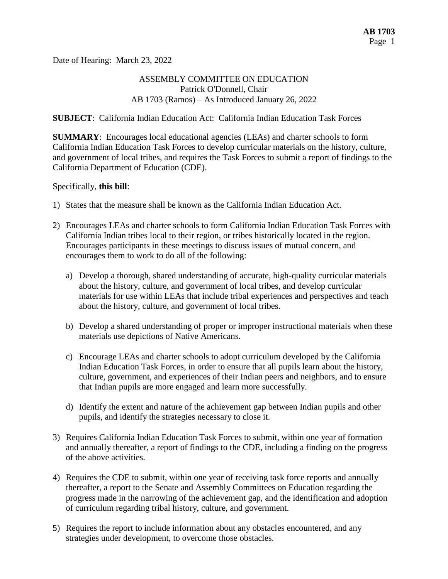Date of Hearing: March 23, 2022

## ASSEMBLY COMMITTEE ON EDUCATION Patrick O'Donnell, Chair AB 1703 (Ramos) – As Introduced January 26, 2022

## **SUBJECT**: California Indian Education Act: California Indian Education Task Forces

**SUMMARY**: Encourages local educational agencies (LEAs) and charter schools to form California Indian Education Task Forces to develop curricular materials on the history, culture, and government of local tribes, and requires the Task Forces to submit a report of findings to the California Department of Education (CDE).

## Specifically, **this bill**:

- 1) States that the measure shall be known as the California Indian Education Act.
- 2) Encourages LEAs and charter schools to form California Indian Education Task Forces with California Indian tribes local to their region, or tribes historically located in the region. Encourages participants in these meetings to discuss issues of mutual concern, and encourages them to work to do all of the following:
	- a) Develop a thorough, shared understanding of accurate, high-quality curricular materials about the history, culture, and government of local tribes, and develop curricular materials for use within LEAs that include tribal experiences and perspectives and teach about the history, culture, and government of local tribes.
	- b) Develop a shared understanding of proper or improper instructional materials when these materials use depictions of Native Americans.
	- c) Encourage LEAs and charter schools to adopt curriculum developed by the California Indian Education Task Forces, in order to ensure that all pupils learn about the history, culture, government, and experiences of their Indian peers and neighbors, and to ensure that Indian pupils are more engaged and learn more successfully.
	- d) Identify the extent and nature of the achievement gap between Indian pupils and other pupils, and identify the strategies necessary to close it.
- 3) Requires California Indian Education Task Forces to submit, within one year of formation and annually thereafter, a report of findings to the CDE, including a finding on the progress of the above activities.
- 4) Requires the CDE to submit, within one year of receiving task force reports and annually thereafter, a report to the Senate and Assembly Committees on Education regarding the progress made in the narrowing of the achievement gap, and the identification and adoption of curriculum regarding tribal history, culture, and government.
- 5) Requires the report to include information about any obstacles encountered, and any strategies under development, to overcome those obstacles.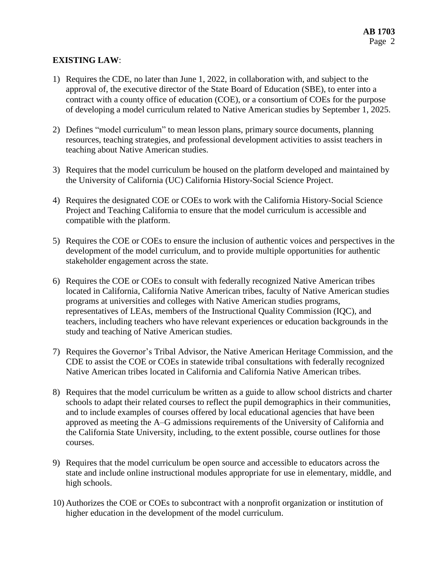## **EXISTING LAW**:

- 1) Requires the CDE, no later than June 1, 2022, in collaboration with, and subject to the approval of, the executive director of the State Board of Education (SBE), to enter into a contract with a county office of education (COE), or a consortium of COEs for the purpose of developing a model curriculum related to Native American studies by September 1, 2025.
- 2) Defines "model curriculum" to mean lesson plans, primary source documents, planning resources, teaching strategies, and professional development activities to assist teachers in teaching about Native American studies.
- 3) Requires that the model curriculum be housed on the platform developed and maintained by the University of California (UC) California History-Social Science Project.
- 4) Requires the designated COE or COEs to work with the California History-Social Science Project and Teaching California to ensure that the model curriculum is accessible and compatible with the platform.
- 5) Requires the COE or COEs to ensure the inclusion of authentic voices and perspectives in the development of the model curriculum, and to provide multiple opportunities for authentic stakeholder engagement across the state.
- 6) Requires the COE or COEs to consult with federally recognized Native American tribes located in California, California Native American tribes, faculty of Native American studies programs at universities and colleges with Native American studies programs, representatives of LEAs, members of the Instructional Quality Commission (IQC), and teachers, including teachers who have relevant experiences or education backgrounds in the study and teaching of Native American studies.
- 7) Requires the Governor's Tribal Advisor, the Native American Heritage Commission, and the CDE to assist the COE or COEs in statewide tribal consultations with federally recognized Native American tribes located in California and California Native American tribes.
- 8) Requires that the model curriculum be written as a guide to allow school districts and charter schools to adapt their related courses to reflect the pupil demographics in their communities, and to include examples of courses offered by local educational agencies that have been approved as meeting the A–G admissions requirements of the University of California and the California State University, including, to the extent possible, course outlines for those courses.
- 9) Requires that the model curriculum be open source and accessible to educators across the state and include online instructional modules appropriate for use in elementary, middle, and high schools.
- 10) Authorizes the COE or COEs to subcontract with a nonprofit organization or institution of higher education in the development of the model curriculum.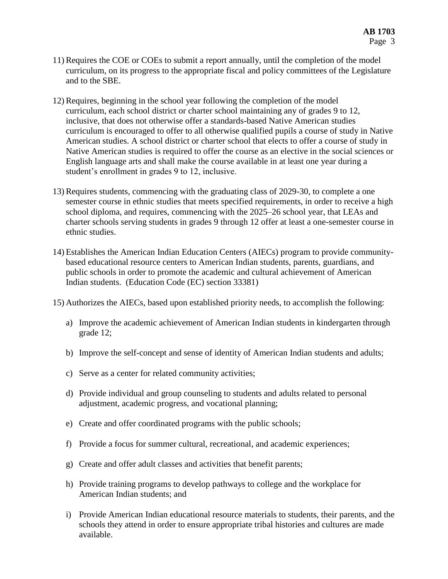- 11) Requires the COE or COEs to submit a report annually, until the completion of the model curriculum, on its progress to the appropriate fiscal and policy committees of the Legislature and to the SBE.
- 12) Requires, beginning in the school year following the completion of the model curriculum, each school district or charter school maintaining any of grades 9 to 12, inclusive, that does not otherwise offer a standards-based Native American studies curriculum is encouraged to offer to all otherwise qualified pupils a course of study in Native American studies. A school district or charter school that elects to offer a course of study in Native American studies is required to offer the course as an elective in the social sciences or English language arts and shall make the course available in at least one year during a student's enrollment in grades 9 to 12, inclusive.
- 13) Requires students, commencing with the graduating class of 2029-30, to complete a one semester course in ethnic studies that meets specified requirements, in order to receive a high school diploma, and requires, commencing with the 2025–26 school year, that LEAs and charter schools serving students in grades 9 through 12 offer at least a one-semester course in ethnic studies.
- 14) Establishes the American Indian Education Centers (AIECs) program to provide communitybased educational resource centers to American Indian students, parents, guardians, and public schools in order to promote the academic and cultural achievement of American Indian students. (Education Code (EC) section 33381)
- 15) Authorizes the AIECs, based upon established priority needs, to accomplish the following:
	- a) Improve the academic achievement of American Indian students in kindergarten through grade 12;
	- b) Improve the self-concept and sense of identity of American Indian students and adults;
	- c) Serve as a center for related community activities;
	- d) Provide individual and group counseling to students and adults related to personal adjustment, academic progress, and vocational planning;
	- e) Create and offer coordinated programs with the public schools;
	- f) Provide a focus for summer cultural, recreational, and academic experiences;
	- g) Create and offer adult classes and activities that benefit parents;
	- h) Provide training programs to develop pathways to college and the workplace for American Indian students; and
	- i) Provide American Indian educational resource materials to students, their parents, and the schools they attend in order to ensure appropriate tribal histories and cultures are made available.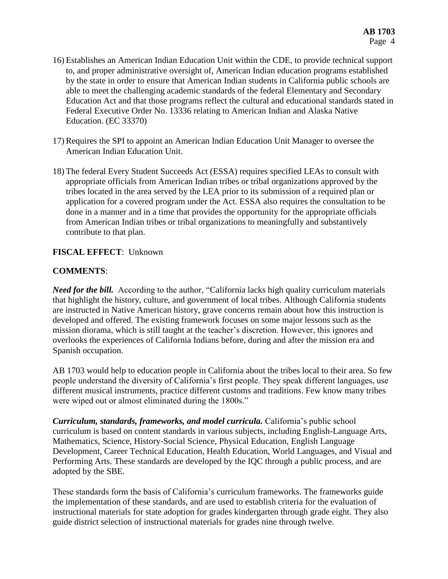- 16) Establishes an American Indian Education Unit within the CDE, to provide technical support to, and proper administrative oversight of, American Indian education programs established by the state in order to ensure that American Indian students in California public schools are able to meet the challenging academic standards of the federal Elementary and Secondary Education Act and that those programs reflect the cultural and educational standards stated in Federal Executive Order No. 13336 relating to American Indian and Alaska Native Education. (EC 33370)
- 17) Requires the SPI to appoint an American Indian Education Unit Manager to oversee the American Indian Education Unit.
- 18) The federal Every Student Succeeds Act (ESSA) requires specified LEAs to consult with appropriate officials from American Indian tribes or tribal organizations approved by the tribes located in the area served by the LEA prior to its submission of a required plan or application for a covered program under the Act. ESSA also requires the consultation to be done in a manner and in a time that provides the opportunity for the appropriate officials from American Indian tribes or tribal organizations to meaningfully and substantively contribute to that plan.

## **FISCAL EFFECT**: Unknown

# **COMMENTS**:

*Need for the bill.* According to the author, "California lacks high quality curriculum materials that highlight the history, culture, and government of local tribes. Although California students are instructed in Native American history, grave concerns remain about how this instruction is developed and offered. The existing framework focuses on some major lessons such as the mission diorama, which is still taught at the teacher's discretion. However, this ignores and overlooks the experiences of California Indians before, during and after the mission era and Spanish occupation.

AB 1703 would help to education people in California about the tribes local to their area. So few people understand the diversity of California's first people. They speak different languages, use different musical instruments, practice different customs and traditions. Few know many tribes were wiped out or almost eliminated during the 1800s."

*Curriculum, standards, frameworks, and model curricula.* California's public school curriculum is based on content standards in various subjects, including English-Language Arts, Mathematics, Science, History-Social Science, Physical Education, English Language Development, Career Technical Education, Health Education, World Languages, and Visual and Performing Arts. These standards are developed by the IQC through a public process, and are adopted by the SBE.

These standards form the basis of California's curriculum frameworks. The frameworks guide the implementation of these standards, and are used to establish criteria for the evaluation of instructional materials for state adoption for grades kindergarten through grade eight. They also guide district selection of instructional materials for grades nine through twelve.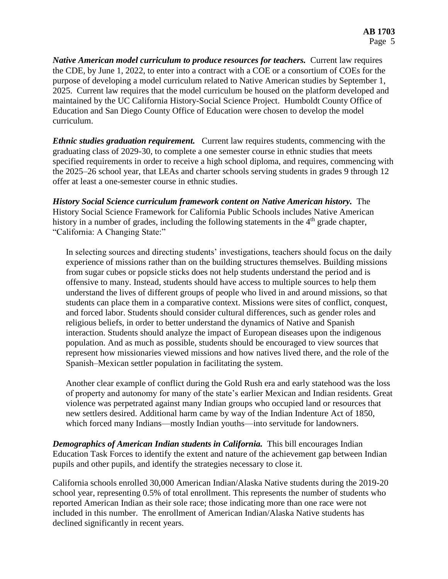*Native American model curriculum to produce resources for teachers.* Current law requires the CDE, by June 1, 2022, to enter into a contract with a COE or a consortium of COEs for the purpose of developing a model curriculum related to Native American studies by September 1, 2025. Current law requires that the model curriculum be housed on the platform developed and maintained by the UC California History-Social Science Project. Humboldt County Office of Education and San Diego County Office of Education were chosen to develop the model curriculum.

*Ethnic studies graduation requirement.* Current law requires students, commencing with the graduating class of 2029-30, to complete a one semester course in ethnic studies that meets specified requirements in order to receive a high school diploma, and requires, commencing with the 2025–26 school year, that LEAs and charter schools serving students in grades 9 through 12 offer at least a one-semester course in ethnic studies.

*History Social Science curriculum framework content on Native American history.* The History Social Science Framework for California Public Schools includes Native American history in a number of grades, including the following statements in the  $4<sup>th</sup>$  grade chapter, "California: A Changing State:"

In selecting sources and directing students' investigations, teachers should focus on the daily experience of missions rather than on the building structures themselves. Building missions from sugar cubes or popsicle sticks does not help students understand the period and is offensive to many. Instead, students should have access to multiple sources to help them understand the lives of different groups of people who lived in and around missions, so that students can place them in a comparative context. Missions were sites of conflict, conquest, and forced labor. Students should consider cultural differences, such as gender roles and religious beliefs, in order to better understand the dynamics of Native and Spanish interaction. Students should analyze the impact of European diseases upon the indigenous population. And as much as possible, students should be encouraged to view sources that represent how missionaries viewed missions and how natives lived there, and the role of the Spanish–Mexican settler population in facilitating the system.

Another clear example of conflict during the Gold Rush era and early statehood was the loss of property and autonomy for many of the state's earlier Mexican and Indian residents. Great violence was perpetrated against many Indian groups who occupied land or resources that new settlers desired. Additional harm came by way of the Indian Indenture Act of 1850, which forced many Indians—mostly Indian youths—into servitude for landowners.

*Demographics of American Indian students in California.* This bill encourages Indian Education Task Forces to identify the extent and nature of the achievement gap between Indian pupils and other pupils, and identify the strategies necessary to close it.

California schools enrolled 30,000 American Indian/Alaska Native students during the 2019-20 school year, representing 0.5% of total enrollment. This represents the number of students who reported American Indian as their sole race; those indicating more than one race were not included in this number. The enrollment of American Indian/Alaska Native students has declined significantly in recent years.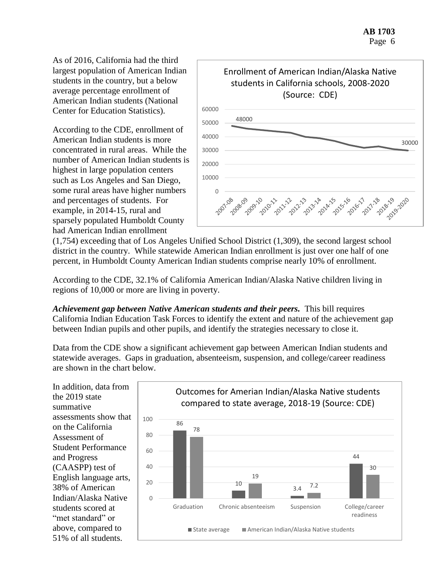As of 2016, California had the third largest population of American Indian students in the country, but a below average percentage enrollment of American Indian students (National Center for Education Statistics).

According to the CDE, enrollment of American Indian students is more concentrated in rural areas. While the number of American Indian students is highest in large population centers such as Los Angeles and San Diego, some rural areas have higher numbers and percentages of students. For example, in 2014-15, rural and sparsely populated Humboldt County had American Indian enrollment



(1,754) exceeding that of Los Angeles Unified School District (1,309), the second largest school district in the country. While statewide American Indian enrollment is just over one half of one percent, in Humboldt County American Indian students comprise nearly 10% of enrollment.

According to the CDE, 32.1% of California American Indian/Alaska Native children living in regions of 10,000 or more are living in poverty.

*Achievement gap between Native American students and their peers.* This bill requires California Indian Education Task Forces to identify the extent and nature of the achievement gap between Indian pupils and other pupils, and identify the strategies necessary to close it.

Data from the CDE show a significant achievement gap between American Indian students and statewide averages. Gaps in graduation, absenteeism, suspension, and college/career readiness are shown in the chart below.

In addition, data from the 2019 state summative assessments show that on the California Assessment of Student Performance and Progress (CAASPP) test of English language arts, 38% of American Indian/Alaska Native students scored at "met standard" or above, compared to 51% of all students.

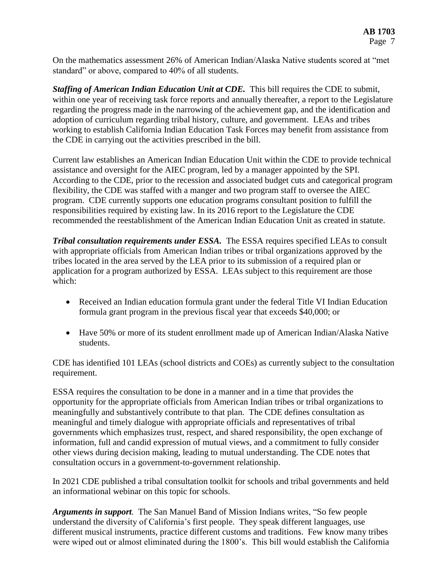On the mathematics assessment 26% of American Indian/Alaska Native students scored at "met standard" or above, compared to 40% of all students.

*Staffing of American Indian Education Unit at CDE.* This bill requires the CDE to submit, within one year of receiving task force reports and annually thereafter, a report to the Legislature regarding the progress made in the narrowing of the achievement gap, and the identification and adoption of curriculum regarding tribal history, culture, and government. LEAs and tribes working to establish California Indian Education Task Forces may benefit from assistance from the CDE in carrying out the activities prescribed in the bill.

Current law establishes an American Indian Education Unit within the CDE to provide technical assistance and oversight for the AIEC program, led by a manager appointed by the SPI. According to the CDE, prior to the recession and associated budget cuts and categorical program flexibility, the CDE was staffed with a manger and two program staff to oversee the AIEC program. CDE currently supports one education programs consultant position to fulfill the responsibilities required by existing law. In its 2016 report to the Legislature the CDE recommended the reestablishment of the American Indian Education Unit as created in statute.

*Tribal consultation requirements under ESSA.* The ESSA requires specified LEAs to consult with appropriate officials from American Indian tribes or tribal organizations approved by the tribes located in the area served by the LEA prior to its submission of a required plan or application for a program authorized by ESSA. LEAs subject to this requirement are those which:

- Received an Indian education formula grant under the federal Title VI Indian Education formula grant program in the previous fiscal year that exceeds \$40,000; or
- Have 50% or more of its student enrollment made up of American Indian/Alaska Native students.

CDE has identified 101 LEAs (school districts and COEs) as currently subject to the consultation requirement.

ESSA requires the consultation to be done in a manner and in a time that provides the opportunity for the appropriate officials from American Indian tribes or tribal organizations to meaningfully and substantively contribute to that plan. The CDE defines consultation as meaningful and timely dialogue with appropriate officials and representatives of tribal governments which emphasizes trust, respect, and shared responsibility, the open exchange of information, full and candid expression of mutual views, and a commitment to fully consider other views during decision making, leading to mutual understanding. The CDE notes that consultation occurs in a government-to-government relationship.

In 2021 CDE published a tribal consultation toolkit for schools and tribal governments and held an informational webinar on this topic for schools.

*Arguments in support.* The San Manuel Band of Mission Indians writes, "So few people understand the diversity of California's first people. They speak different languages, use different musical instruments, practice different customs and traditions. Few know many tribes were wiped out or almost eliminated during the 1800's. This bill would establish the California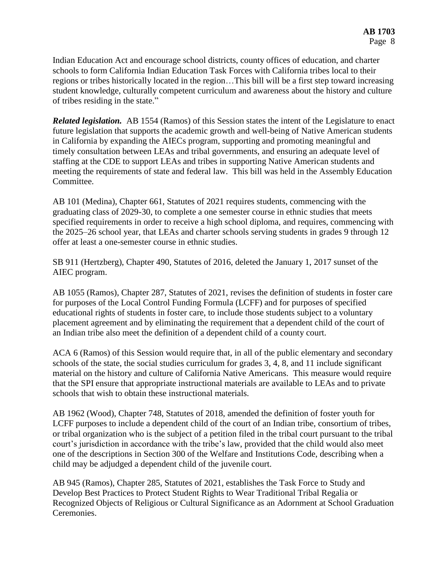Indian Education Act and encourage school districts, county offices of education, and charter schools to form California Indian Education Task Forces with California tribes local to their regions or tribes historically located in the region…This bill will be a first step toward increasing student knowledge, culturally competent curriculum and awareness about the history and culture of tribes residing in the state."

*Related legislation.* AB 1554 (Ramos) of this Session states the intent of the Legislature to enact future legislation that supports the academic growth and well-being of Native American students in California by expanding the AIECs program, supporting and promoting meaningful and timely consultation between LEAs and tribal governments, and ensuring an adequate level of staffing at the CDE to support LEAs and tribes in supporting Native American students and meeting the requirements of state and federal law. This bill was held in the Assembly Education Committee.

AB 101 (Medina), Chapter 661, Statutes of 2021 requires students, commencing with the graduating class of 2029-30, to complete a one semester course in ethnic studies that meets specified requirements in order to receive a high school diploma, and requires, commencing with the 2025–26 school year, that LEAs and charter schools serving students in grades 9 through 12 offer at least a one-semester course in ethnic studies.

SB 911 (Hertzberg), Chapter 490, Statutes of 2016, deleted the January 1, 2017 sunset of the AIEC program.

AB 1055 (Ramos), Chapter 287, Statutes of 2021, revises the definition of students in foster care for purposes of the Local Control Funding Formula (LCFF) and for purposes of specified educational rights of students in foster care, to include those students subject to a voluntary placement agreement and by eliminating the requirement that a dependent child of the court of an Indian tribe also meet the definition of a dependent child of a county court.

ACA 6 (Ramos) of this Session would require that, in all of the public elementary and secondary schools of the state, the social studies curriculum for grades 3, 4, 8, and 11 include significant material on the history and culture of California Native Americans. This measure would require that the SPI ensure that appropriate instructional materials are available to LEAs and to private schools that wish to obtain these instructional materials.

AB 1962 (Wood), Chapter 748, Statutes of 2018, amended the definition of foster youth for LCFF purposes to include a dependent child of the court of an Indian tribe, consortium of tribes, or tribal organization who is the subject of a petition filed in the tribal court pursuant to the tribal court's jurisdiction in accordance with the tribe's law, provided that the child would also meet one of the descriptions in Section 300 of the Welfare and Institutions Code, describing when a child may be adjudged a dependent child of the juvenile court.

AB 945 (Ramos), Chapter 285, Statutes of 2021, establishes the Task Force to Study and Develop Best Practices to Protect Student Rights to Wear Traditional Tribal Regalia or Recognized Objects of Religious or Cultural Significance as an Adornment at School Graduation Ceremonies.